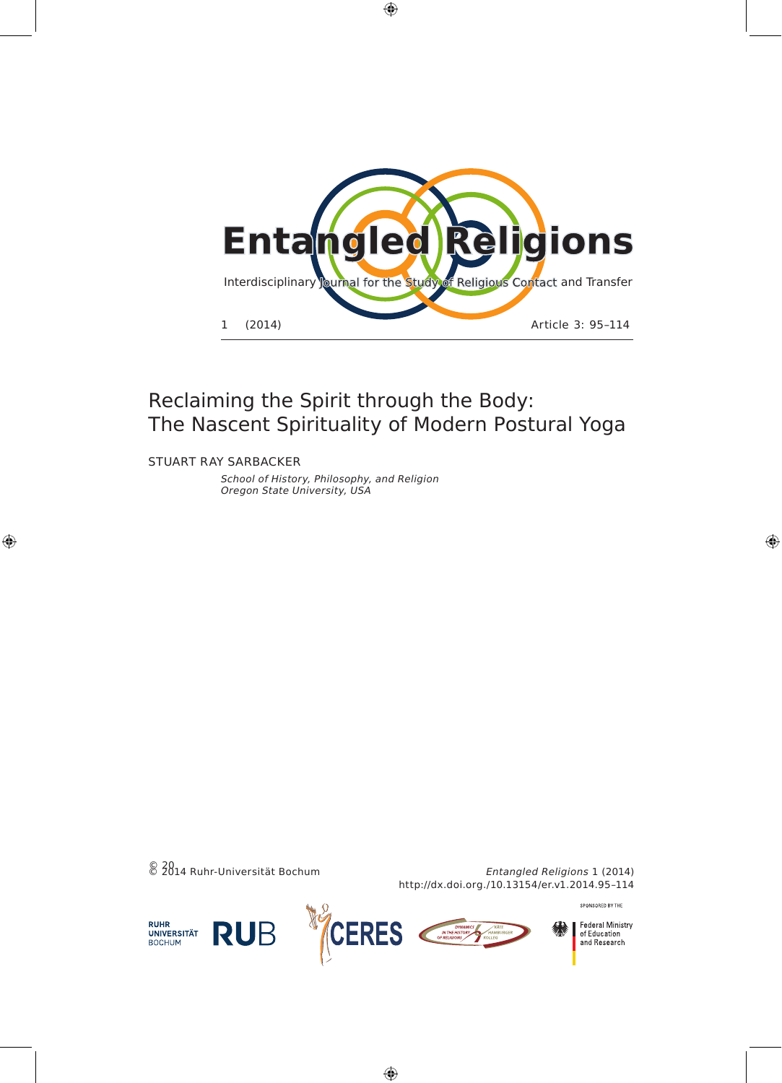

 $\bigoplus$ 

STUART RAY SARBAckeR

 $\bigoplus$ 

School of History, Philosophy, and Religion Oregon State University, USA



**Federal Ministry** of Education<br>and Research

◈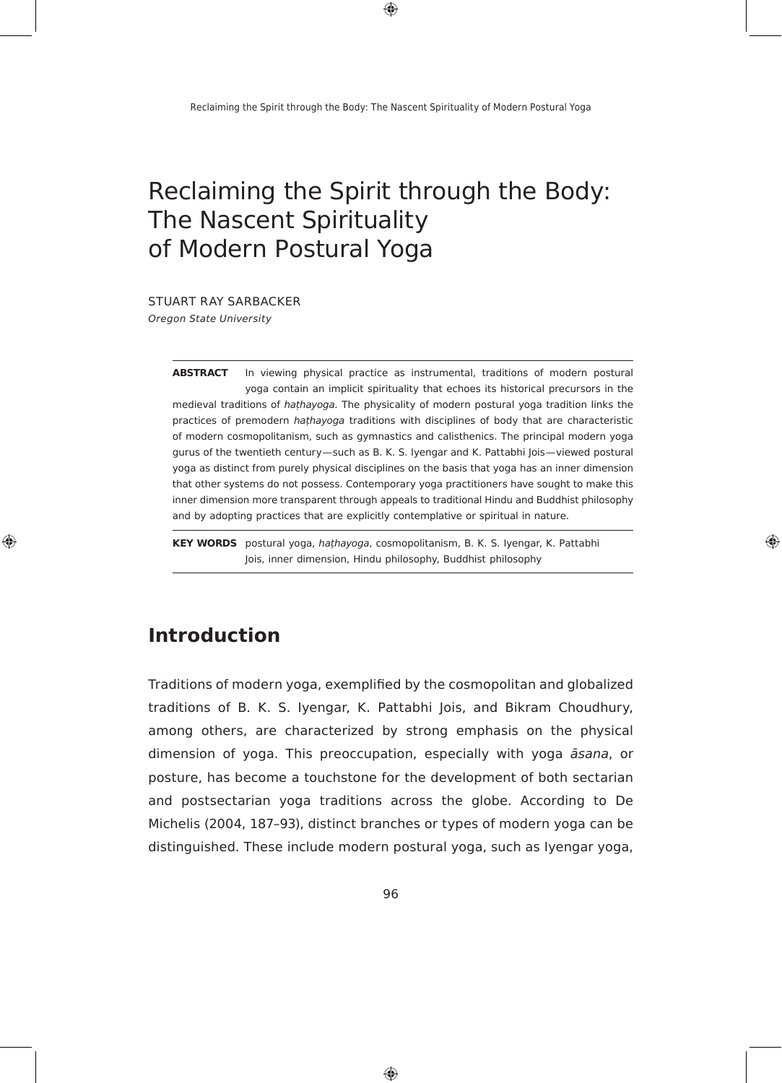$\bigoplus$ 

# Reclaiming the Spirit through the Body: The Nascent Spirituality of Modern Postural Yoga

STUART RAY SARBAckeR

Oregon State University

**AbstrAct** In viewing physical practice as instrumental, traditions of modern postural yoga contain an implicit spirituality that echoes its historical precursors in the medieval traditions of *hathayoga*. The physicality of modern postural yoga tradition links the practices of premodern *hathayoga* traditions with disciplines of body that are characteristic of modern cosmopolitanism, such as gymnastics and calisthenics. The principal modern yoga gurus of the twentieth century—such as B. K. S. Iyengar and K. Pattabhi Jois—viewed postural yoga as distinct from purely physical disciplines on the basis that yoga has an inner dimension that other systems do not possess. contemporary yoga practitioners have sought to make this inner dimension more transparent through appeals to traditional Hindu and Buddhist philosophy and by adopting practices that are explicitly contemplative or spiritual in nature.

◈

**KEY WORDS** postural yoga, *hathayoga*, cosmopolitanism, B. K. S. Iyengar, K. Pattabhi Jois, inner dimension, Hindu philosophy, Buddhist philosophy

### **Introduction**

⊕

Traditions of modern yoga, exemplified by the cosmopolitan and globalized traditions of B. K. S. Iyengar, K. Pattabhi Jois, and Bikram Choudhury, among others, are characterized by strong emphasis on the physical dimension of yoga. This preoccupation, especially with yoga *āsana*, or posture, has become a touchstone for the development of both sectarian and postsectarian yoga traditions across the globe. According to De Michelis (2004, 187–93), distinct branches or types of modern yoga can be distinguished. These include modern postural yoga, such as Iyengar yoga,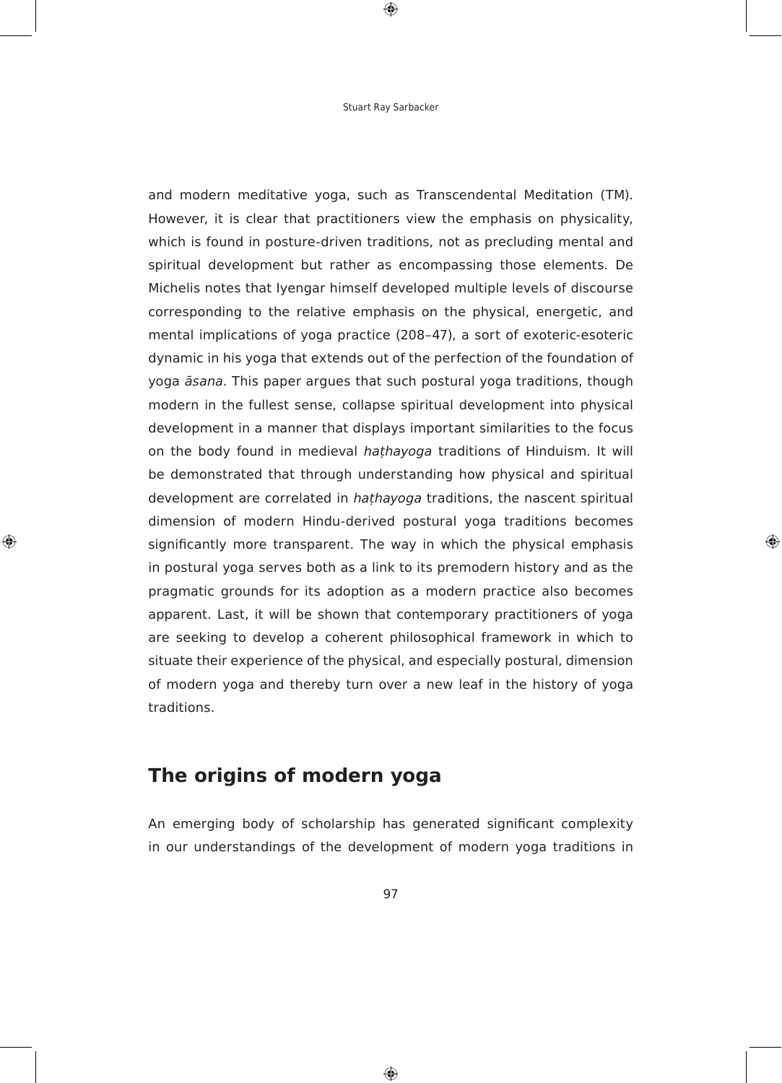$\bigoplus$ 

and modern meditative yoga, such as Transcendental Meditation (TM). However, it is clear that practitioners view the emphasis on physicality, which is found in posture-driven traditions, not as precluding mental and spiritual development but rather as encompassing those elements. De Michelis notes that Iyengar himself developed multiple levels of discourse corresponding to the relative emphasis on the physical, energetic, and mental implications of yoga practice (208–47), a sort of exoteric-esoteric dynamic in his yoga that extends out of the perfection of the foundation of yoga *āsana*. This paper argues that such postural yoga traditions, though modern in the fullest sense, collapse spiritual development into physical development in a manner that displays important similarities to the focus on the body found in medieval *hathayoga* traditions of Hinduism. It will be demonstrated that through understanding how physical and spiritual development are correlated in *hathayoga* traditions, the nascent spiritual dimension of modern Hindu-derived postural yoga traditions becomes significantly more transparent. The way in which the physical emphasis in postural yoga serves both as a link to its premodern history and as the pragmatic grounds for its adoption as a modern practice also becomes apparent. Last, it will be shown that contemporary practitioners of yoga are seeking to develop a coherent philosophical framework in which to situate their experience of the physical, and especially postural, dimension of modern yoga and thereby turn over a new leaf in the history of yoga traditions.

⊕

### **the origins of modern yoga**

⊕

An emerging body of scholarship has generated significant complexity in our understandings of the development of modern yoga traditions in

97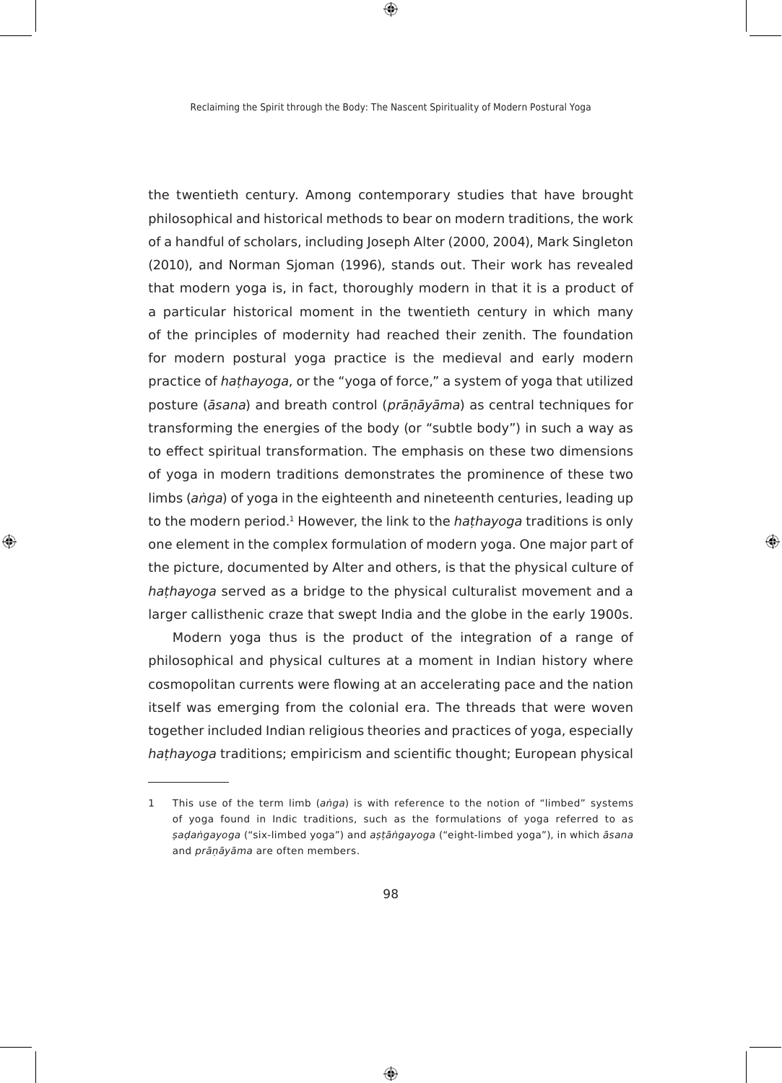$\bigoplus$ 

the twentieth century. Among contemporary studies that have brought philosophical and historical methods to bear on modern traditions, the work of a handful of scholars, including Joseph Alter (2000, 2004), Mark Singleton (2010), and Norman Sjoman (1996), stands out. Their work has revealed that modern yoga is, in fact, thoroughly modern in that it is a product of a particular historical moment in the twentieth century in which many of the principles of modernity had reached their zenith. The foundation for modern postural yoga practice is the medieval and early modern practice of *hathayoga*, or the "yoga of force," a system of yoga that utilized posture (*āsana*) and breath control (*prāṇāyāma*) as central techniques for transforming the energies of the body (or "subtle body") in such a way as to effect spiritual transformation. The emphasis on these two dimensions of yoga in modern traditions demonstrates the prominence of these two limbs (*añga*) of yoga in the eighteenth and nineteenth centuries, leading up to the modern period.<sup>1</sup> However, the link to the *hathayoga* traditions is only one element in the complex formulation of modern yoga. One major part of the picture, documented by Alter and others, is that the physical culture of hathayoga served as a bridge to the physical culturalist movement and a larger callisthenic craze that swept India and the globe in the early 1900s.

⊕

⊕

Modern yoga thus is the product of the integration of a range of philosophical and physical cultures at a moment in Indian history where cosmopolitan currents were flowing at an accelerating pace and the nation itself was emerging from the colonial era. The threads that were woven together included Indian religious theories and practices of yoga, especially *hathayoga* traditions; empiricism and scientific thought; European physical

⊕

<sup>1</sup> This use of the term limb (*aṅga*) is with reference to the notion of "limbed" systems of yoga found in Indic traditions, such as the formulations of yoga referred to as  $şadahgayoga$  ("six-limbed yoga") and aṣṭāṅgayoga ("eight-limbed yoga"), in which āsana and *prāņāyāma* are often members.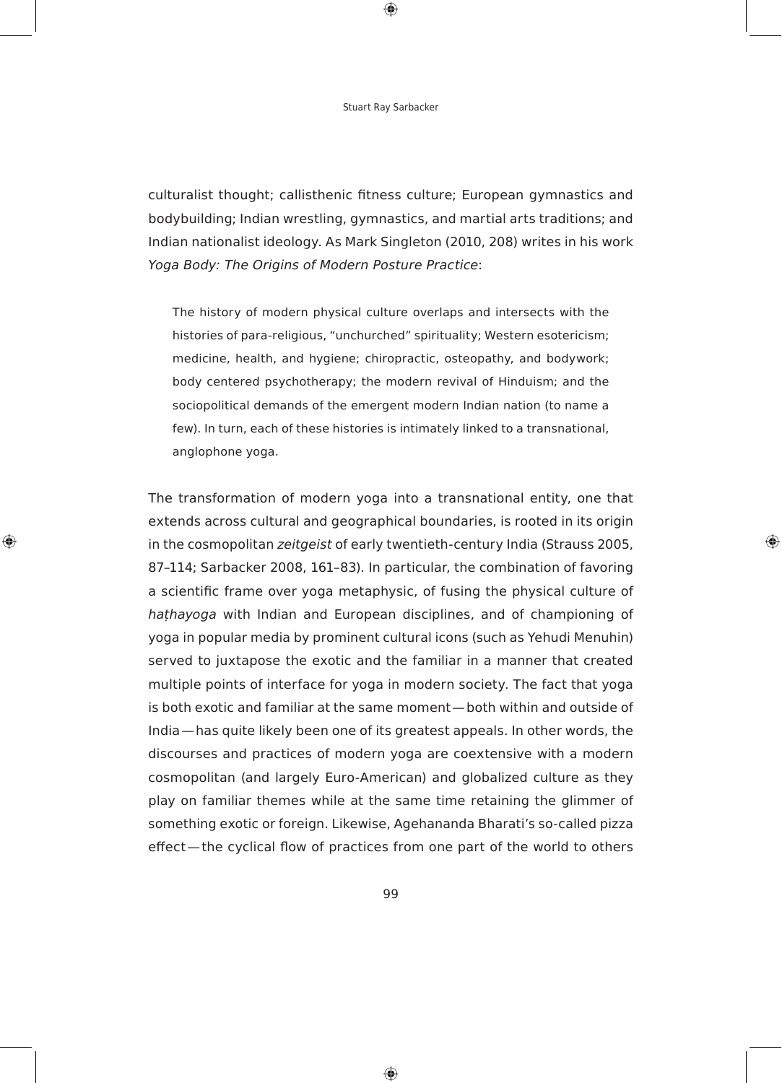$\bigoplus$ 

culturalist thought; callisthenic fitness culture; European gymnastics and bodybuilding; Indian wrestling, gymnastics, and martial arts traditions; and Indian nationalist ideology. As Mark Singleton (2010, 208) writes in his work Yoga Body: The Origins of Modern Posture Practice:

The history of modern physical culture overlaps and intersects with the histories of para-religious, "unchurched" spirituality; Western esotericism; medicine, health, and hygiene; chiropractic, osteopathy, and bodywork; body centered psychotherapy; the modern revival of Hinduism; and the sociopolitical demands of the emergent modern Indian nation (to name a few). In turn, each of these histories is intimately linked to a transnational, anglophone yoga.

The transformation of modern yoga into a transnational entity, one that extends across cultural and geographical boundaries, is rooted in its origin in the cosmopolitan *zeitgeist* of early twentieth-century India (Strauss 2005, 87–114; Sarbacker 2008, 161–83). In particular, the combination of favoring a scientific frame over yoga metaphysic, of fusing the physical culture of hathayoga with Indian and European disciplines, and of championing of yoga in popular media by prominent cultural icons (such as Yehudi Menuhin) served to juxtapose the exotic and the familiar in a manner that created multiple points of interface for yoga in modern society. The fact that yoga is both exotic and familiar at the same moment-both within and outside of India - has quite likely been one of its greatest appeals. In other words, the discourses and practices of modern yoga are coextensive with a modern cosmopolitan (and largely Euro-American) and globalized culture as they play on familiar themes while at the same time retaining the glimmer of something exotic or foreign. Likewise, Agehananda Bharati's so-called pizza effect—the cyclical flow of practices from one part of the world to others

◈

⊕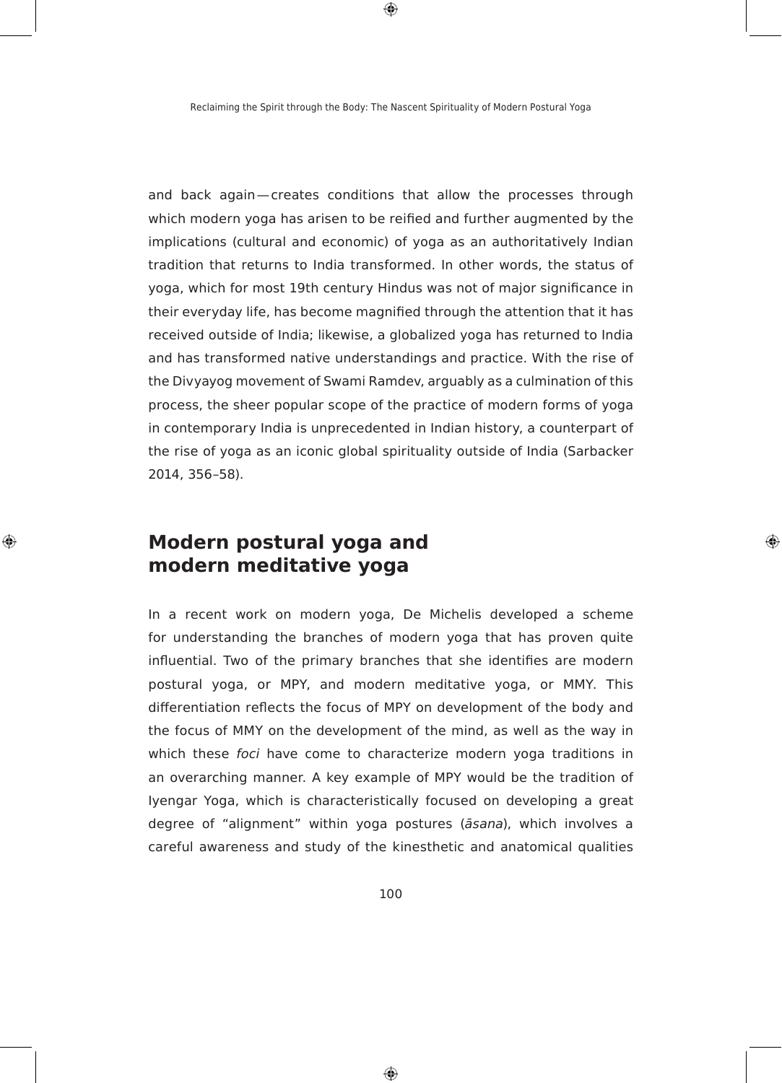$\bigoplus$ 

and back again-creates conditions that allow the processes through which modern yoga has arisen to be reified and further augmented by the implications (cultural and economic) of yoga as an authoritatively Indian tradition that returns to India transformed. In other words, the status of yoga, which for most 19th century Hindus was not of major significance in their everyday life, has become magnified through the attention that it has received outside of India; likewise, a globalized yoga has returned to India and has transformed native understandings and practice. With the rise of the Divyayog movement of Swami Ramdev, arguably as a culmination of this process, the sheer popular scope of the practice of modern forms of yoga in contemporary India is unprecedented in Indian history, a counterpart of the rise of yoga as an iconic global spirituality outside of India (Sarbacker 2014, 356–58).

### **Modern postural yoga and modern meditative yoga**

◈

In a recent work on modern yoga, De Michelis developed a scheme for understanding the branches of modern yoga that has proven quite influential. Two of the primary branches that she identifies are modern postural yoga, or MPY, and modern meditative yoga, or MMY. This differentiation reflects the focus of MPY on development of the body and the focus of MMY on the development of the mind, as well as the way in which these foci have come to characterize modern yoga traditions in an overarching manner. A key example of MPY would be the tradition of Iyengar Yoga, which is characteristically focused on developing a great degree of "alignment" within yoga postures (āsana), which involves a careful awareness and study of the kinesthetic and anatomical qualities

⊕

100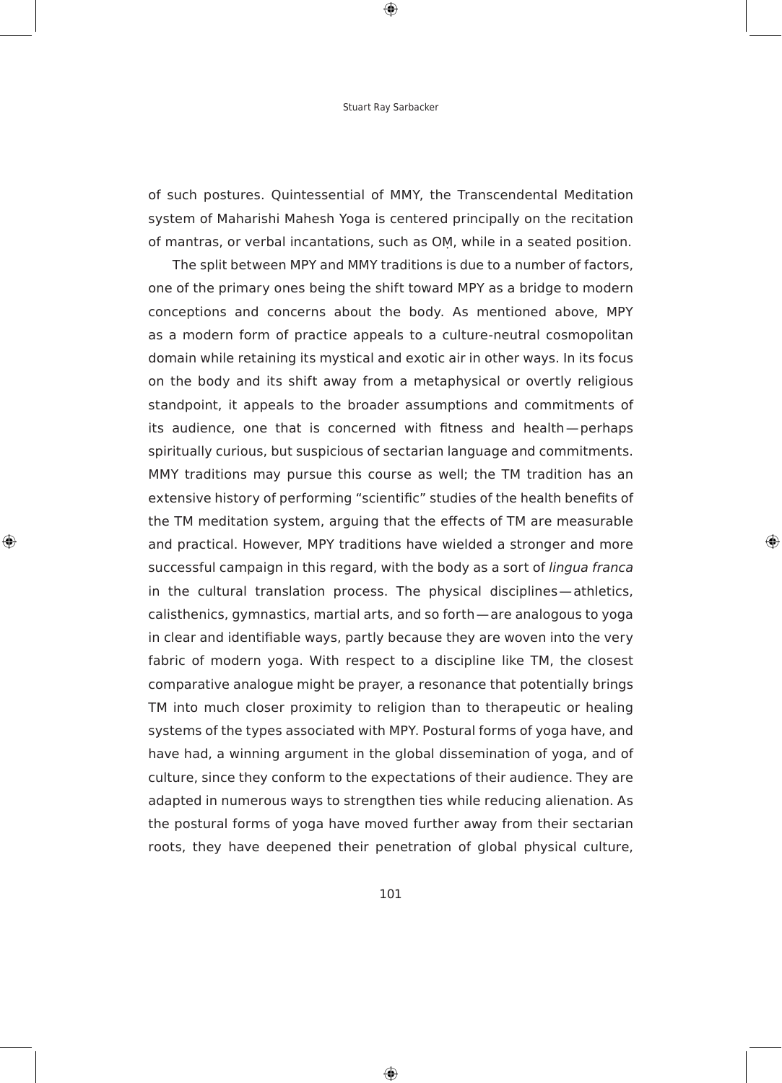$\bigoplus$ 

of such postures. Quintessential of MMY, the Transcendental Meditation system of Maharishi Mahesh Yoga is centered principally on the recitation of mantras, or verbal incantations, such as OM, while in a seated position.

The split between MPY and MMY traditions is due to a number of factors, one of the primary ones being the shift toward MPY as a bridge to modern conceptions and concerns about the body. As mentioned above, MPY as a modern form of practice appeals to a culture-neutral cosmopolitan domain while retaining its mystical and exotic air in other ways. In its focus on the body and its shift away from a metaphysical or overtly religious standpoint, it appeals to the broader assumptions and commitments of its audience, one that is concerned with fitness and health-perhaps spiritually curious, but suspicious of sectarian language and commitments. MMY traditions may pursue this course as well; the TM tradition has an extensive history of performing "scientific" studies of the health benefits of the TM meditation system, arguing that the effects of TM are measurable and practical. However, MPY traditions have wielded a stronger and more successful campaign in this regard, with the body as a sort of lingua franca in the cultural translation process. The physical disciplines—athletics, calisthenics, gymnastics, martial arts, and so forth — are analogous to yoga in clear and identifiable ways, partly because they are woven into the very fabric of modern yoga. With respect to a discipline like TM, the closest comparative analogue might be prayer, a resonance that potentially brings TM into much closer proximity to religion than to therapeutic or healing systems of the types associated with MPY. Postural forms of yoga have, and have had, a winning argument in the global dissemination of yoga, and of culture, since they conform to the expectations of their audience. They are adapted in numerous ways to strengthen ties while reducing alienation. As the postural forms of yoga have moved further away from their sectarian roots, they have deepened their penetration of global physical culture,

⊕

◈

101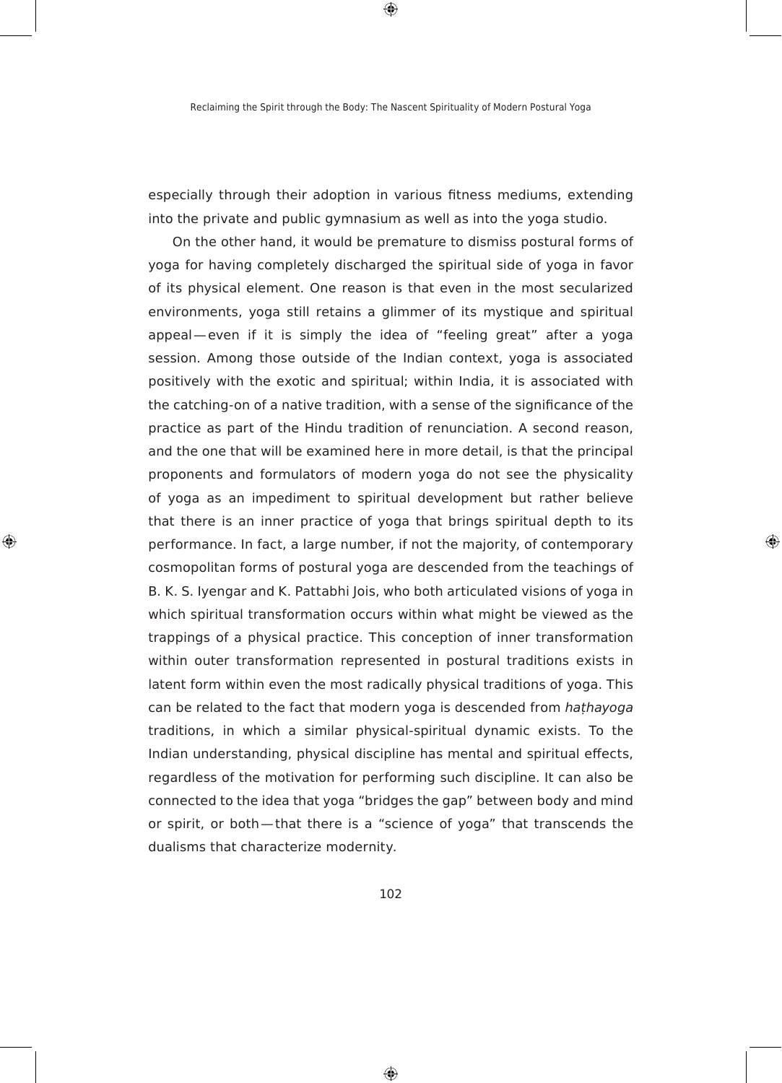$\bigoplus$ 

especially through their adoption in various fitness mediums, extending into the private and public gymnasium as well as into the yoga studio.

On the other hand, it would be premature to dismiss postural forms of yoga for having completely discharged the spiritual side of yoga in favor of its physical element. One reason is that even in the most secularized environments, yoga still retains a glimmer of its mystique and spiritual appeal-even if it is simply the idea of "feeling great" after a yoga session. Among those outside of the Indian context, yoga is associated positively with the exotic and spiritual; within India, it is associated with the catching-on of a native tradition, with a sense of the significance of the practice as part of the Hindu tradition of renunciation. A second reason, and the one that will be examined here in more detail, is that the principal proponents and formulators of modern yoga do not see the physicality of yoga as an impediment to spiritual development but rather believe that there is an inner practice of yoga that brings spiritual depth to its performance. In fact, a large number, if not the majority, of contemporary cosmopolitan forms of postural yoga are descended from the teachings of B. K. S. Iyengar and K. Pattabhi Jois, who both articulated visions of yoga in which spiritual transformation occurs within what might be viewed as the trappings of a physical practice. This conception of inner transformation within outer transformation represented in postural traditions exists in latent form within even the most radically physical traditions of yoga. This can be related to the fact that modern yoga is descended from *hathayoga* traditions, in which a similar physical-spiritual dynamic exists. To the Indian understanding, physical discipline has mental and spiritual effects, regardless of the motivation for performing such discipline. It can also be connected to the idea that yoga "bridges the gap" between body and mind or spirit, or both-that there is a "science of yoga" that transcends the dualisms that characterize modernity.

◈

⊕

102

⊕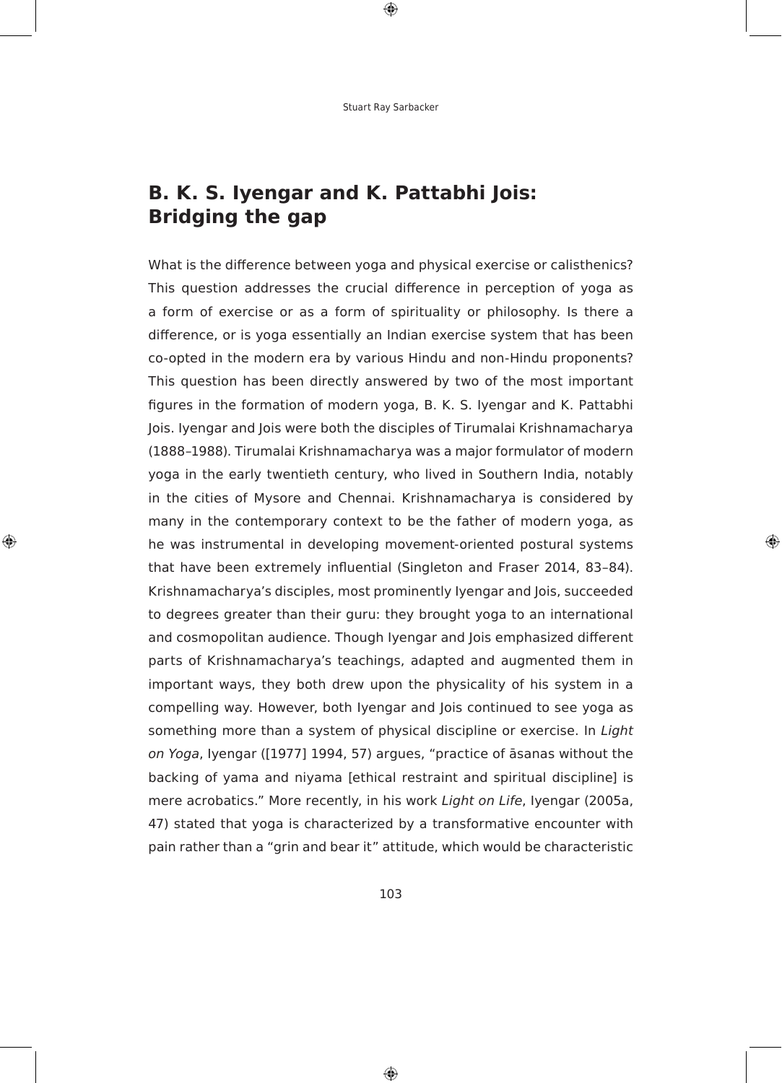$\bigoplus$ 

# **b. K. s. Iyengar and K. Pattabhi Jois: bridging the gap**

What is the difference between yoga and physical exercise or calisthenics? This question addresses the crucial difference in perception of yoga as a form of exercise or as a form of spirituality or philosophy. Is there a difference, or is yoga essentially an Indian exercise system that has been co-opted in the modern era by various Hindu and non-Hindu proponents? This question has been directly answered by two of the most important figures in the formation of modern yoga, B. K. S. Iyengar and K. Pattabhi Jois. Iyengar and Jois were both the disciples of Tirumalai Krishnamacharya (1888–1988). Tirumalai krishnamacharya was a major formulator of modern yoga in the early twentieth century, who lived in Southern India, notably in the cities of Mysore and chennai. krishnamacharya is considered by many in the contemporary context to be the father of modern yoga, as he was instrumental in developing movement-oriented postural systems that have been extremely influential (Singleton and Fraser 2014, 83-84). Krishnamacharya's disciples, most prominently Iyengar and Jois, succeeded to degrees greater than their guru: they brought yoga to an international and cosmopolitan audience. Though Iyengar and Jois emphasized different parts of krishnamacharya's teachings, adapted and augmented them in important ways, they both drew upon the physicality of his system in a compelling way. However, both Iyengar and Jois continued to see yoga as something more than a system of physical discipline or exercise. In Light on Yoga, Iyengar ([1977] 1994, 57) argues, "practice of asanas without the backing of yama and niyama [ethical restraint and spiritual discipline] is mere acrobatics." More recently, in his work Light on Life, Iyengar (2005a, 47) stated that yoga is characterized by a transformative encounter with pain rather than a "grin and bear it" attitude, which would be characteristic

◈

⊕

103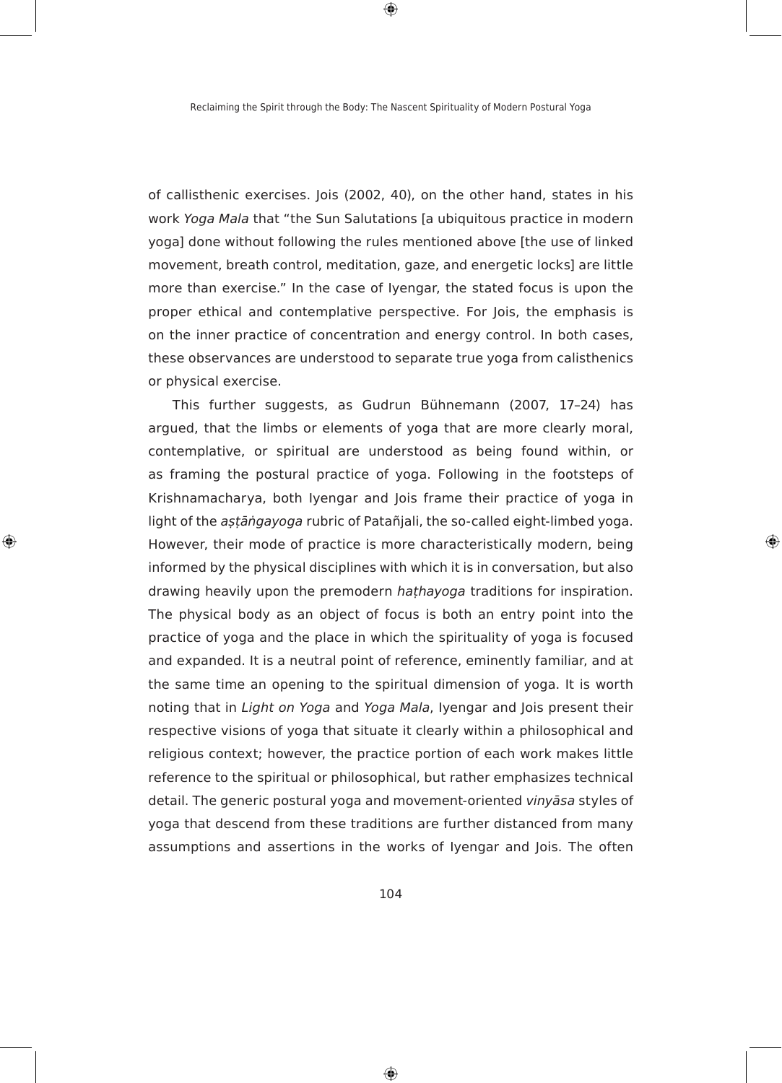$\bigoplus$ 

of callisthenic exercises. Jois (2002, 40), on the other hand, states in his work Yoga Mala that "the Sun Salutations [a ubiquitous practice in modern yoga] done without following the rules mentioned above [the use of linked movement, breath control, meditation, gaze, and energetic locks] are little more than exercise." In the case of Iyengar, the stated focus is upon the proper ethical and contemplative perspective. For Jois, the emphasis is on the inner practice of concentration and energy control. In both cases, these observances are understood to separate true yoga from calisthenics or physical exercise.

This further suggests, as Gudrun Bühnemann (2007, 17–24) has argued, that the limbs or elements of yoga that are more clearly moral, contemplative, or spiritual are understood as being found within, or as framing the postural practice of yoga. Following in the footsteps of Krishnamacharya, both Iyengar and Jois frame their practice of yoga in light of the *astāngayoga* rubric of Patañjali, the so-called eight-limbed yoga. However, their mode of practice is more characteristically modern, being informed by the physical disciplines with which it is in conversation, but also drawing heavily upon the premodern *hathayoga* traditions for inspiration. The physical body as an object of focus is both an entry point into the practice of yoga and the place in which the spirituality of yoga is focused and expanded. It is a neutral point of reference, eminently familiar, and at the same time an opening to the spiritual dimension of yoga. It is worth noting that in Light on Yoga and Yoga Mala, Iyengar and Jois present their respective visions of yoga that situate it clearly within a philosophical and religious context; however, the practice portion of each work makes little reference to the spiritual or philosophical, but rather emphasizes technical detail. The generic postural yoga and movement-oriented *vinyāsa* styles of yoga that descend from these traditions are further distanced from many assumptions and assertions in the works of Iyengar and Jois. The often

⊕

◈

104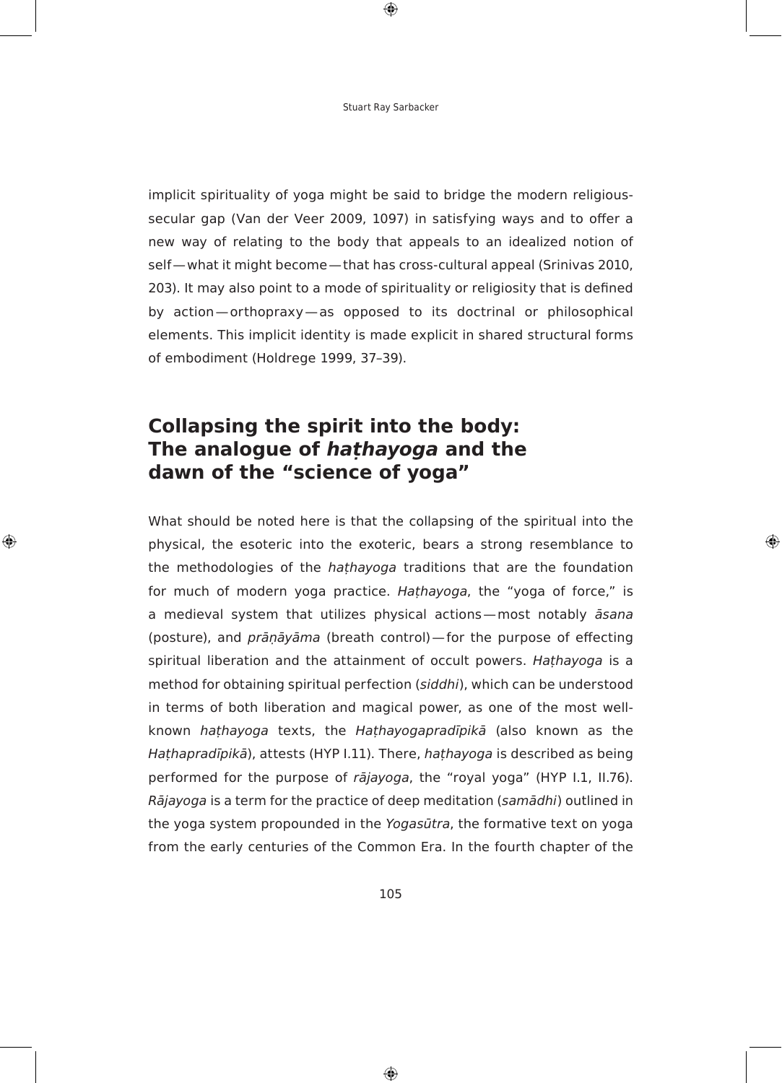$\bigoplus$ 

implicit spirituality of yoga might be said to bridge the modern religioussecular gap (Van der Veer 2009, 1097) in satisfying ways and to offer a new way of relating to the body that appeals to an idealized notion of self—what it might become—that has cross-cultural appeal (Srinivas 2010, 203). It may also point to a mode of spirituality or religiosity that is defined by action-orthopraxy-as opposed to its doctrinal or philosophical elements. This implicit identity is made explicit in shared structural forms of embodiment (Holdrege 1999, 37–39).

## **collapsing the spirit into the body: the analogue of hathayoga and the dawn of the "science of yoga"**

◈

What should be noted here is that the collapsing of the spiritual into the physical, the esoteric into the exoteric, bears a strong resemblance to the methodologies of the *hathayoga* traditions that are the foundation for much of modern yoga practice. *Hathayoga*, the "yoga of force," is a medieval system that utilizes physical actions - most notably āsana (posture), and *prāṇāyāma* (breath control)—for the purpose of effecting spiritual liberation and the attainment of occult powers. *Hathayoga* is a method for obtaining spiritual perfection (siddhi), which can be understood in terms of both liberation and magical power, as one of the most wellknown *hathayoga* texts, the *Hathayogapradīpikā* (also known as the *Hathapradīpikā*), attests (HYP I.11). There, *hathayoga* is described as being performed for the purpose of *rājayoga*, the "royal yoga" (HYP I.1, II.76). *Rājayoga* is a term for the practice of deep meditation (*samādhi*) outlined in the yoga system propounded in the Yogasūtra, the formative text on yoga from the early centuries of the Common Era. In the fourth chapter of the

⊕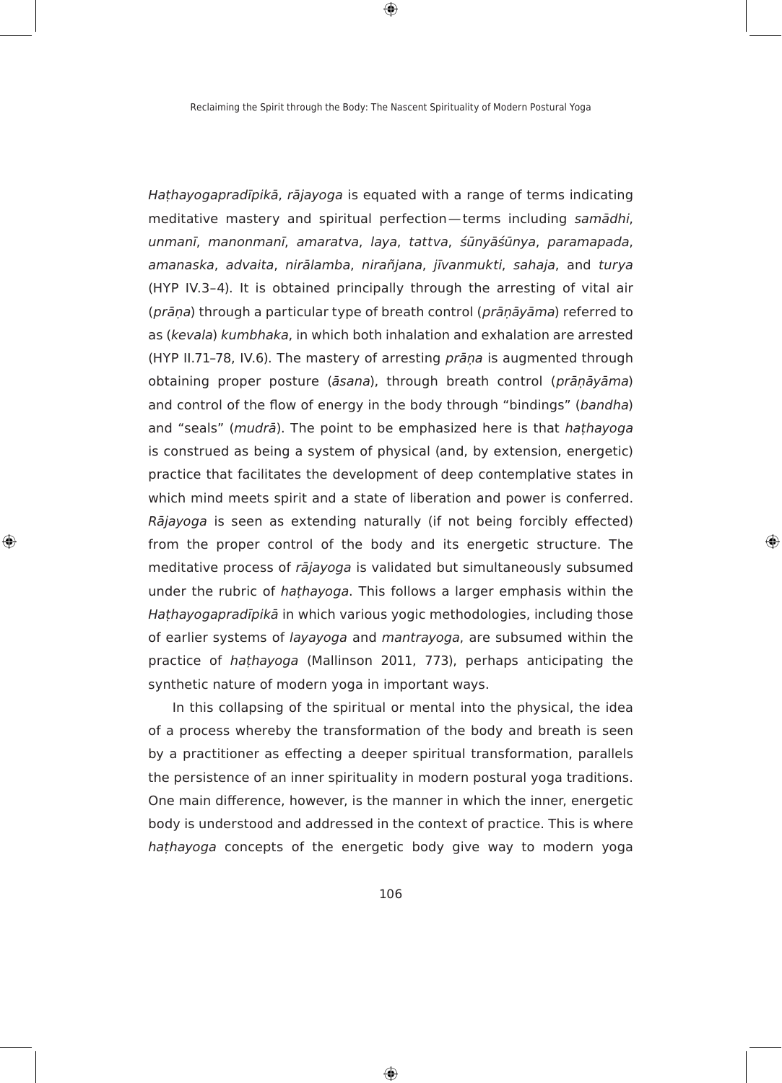$\bigoplus$ 

Hathayogapradīpikā, rājayoga is equated with a range of terms indicating meditative mastery and spiritual perfection—terms including samādhi, *XQPDQí*, *PDQRQPDQí*, *DPDUDWYD*, laya, tattva, *ĝĭQ\ÃĝĭQ\D*, *SDUDPDSDGD*, *DPDQDVND*, advaita, *QLUÃODPED*, *QLUD³MDQD*, *MíYDQPXNWL*, *VDKDMD*, and turya (HYP IV.3–4). It is obtained principally through the arresting of vital air (*prāṇa*) through a particular type of breath control (*prāṇāyāma*) referred to as (*kevala*) *kumbhaka*, in which both inhalation and exhalation are arrested (HYP II.71-78, IV.6). The mastery of arresting *prāna* is augmented through obtaining proper posture (*āsana*), through breath control (*prānāyāma*) and control of the flow of energy in the body through "bindings" (bandha) and "seals" (*mudrā*). The point to be emphasized here is that hathayoga is construed as being a system of physical (and, by extension, energetic) practice that facilitates the development of deep contemplative states in which mind meets spirit and a state of liberation and power is conferred. Rājayoga is seen as extending naturally (if not being forcibly effected) from the proper control of the body and its energetic structure. The meditative process of *rājayoga* is validated but simultaneously subsumed under the rubric of *hathayoga*. This follows a larger emphasis within the Hathayogapradīpikā in which various yogic methodologies, including those of earlier systems of *layayoga* and *mantrayoga*, are subsumed within the practice of *hathayoga* (Mallinson 2011, 773), perhaps anticipating the synthetic nature of modern yoga in important ways.

⊕

◈

In this collapsing of the spiritual or mental into the physical, the idea of a process whereby the transformation of the body and breath is seen by a practitioner as effecting a deeper spiritual transformation, parallels the persistence of an inner spirituality in modern postural yoga traditions. One main difference, however, is the manner in which the inner, energetic body is understood and addressed in the context of practice. This is where *hathayoga* concepts of the energetic body give way to modern yoga

106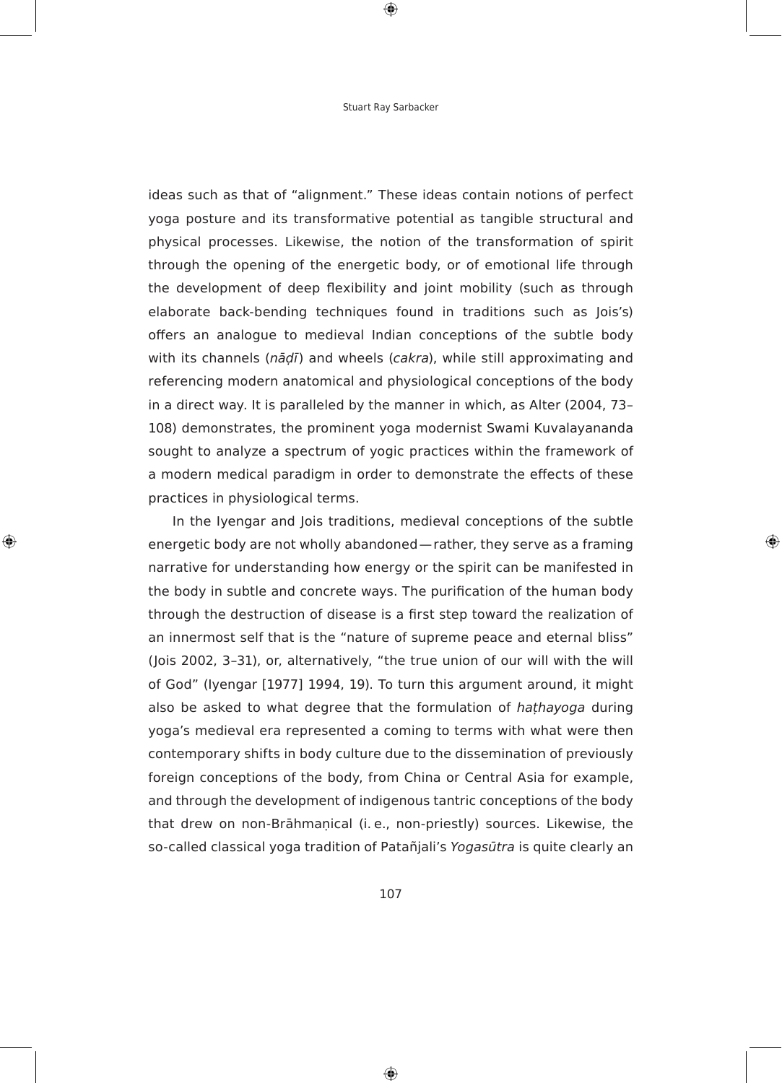$\bigoplus$ 

ideas such as that of "alignment." These ideas contain notions of perfect yoga posture and its transformative potential as tangible structural and physical processes. Likewise, the notion of the transformation of spirit through the opening of the energetic body, or of emotional life through the development of deep flexibility and joint mobility (such as through elaborate back-bending techniques found in traditions such as Jois's) offers an analogue to medieval Indian conceptions of the subtle body with its channels (*nāḍī*) and wheels (*cakra*), while still approximating and referencing modern anatomical and physiological conceptions of the body in a direct way. It is paralleled by the manner in which, as Alter (2004, 73– 108) demonstrates, the prominent yoga modernist Swami kuvalayananda sought to analyze a spectrum of yogic practices within the framework of a modern medical paradigm in order to demonstrate the effects of these practices in physiological terms.

In the Iyengar and Jois traditions, medieval conceptions of the subtle energetic body are not wholly abandoned—rather, they serve as a framing narrative for understanding how energy or the spirit can be manifested in the body in subtle and concrete ways. The purification of the human body through the destruction of disease is a first step toward the realization of an innermost self that is the "nature of supreme peace and eternal bliss" (Jois 2002, 3-31), or, alternatively, "the true union of our will with the will of God" (Iyengar [1977] 1994, 19). To turn this argument around, it might also be asked to what degree that the formulation of *hathayoga* during yoga's medieval era represented a coming to terms with what were then contemporary shifts in body culture due to the dissemination of previously foreign conceptions of the body, from china or central Asia for example, and through the development of indigenous tantric conceptions of the body that drew on non-Brāhmanical (i.e., non-priestly) sources. Likewise, the so-called classical yoga tradition of Patañjali's *Yogasūtra* is quite clearly an

⊕

◈

107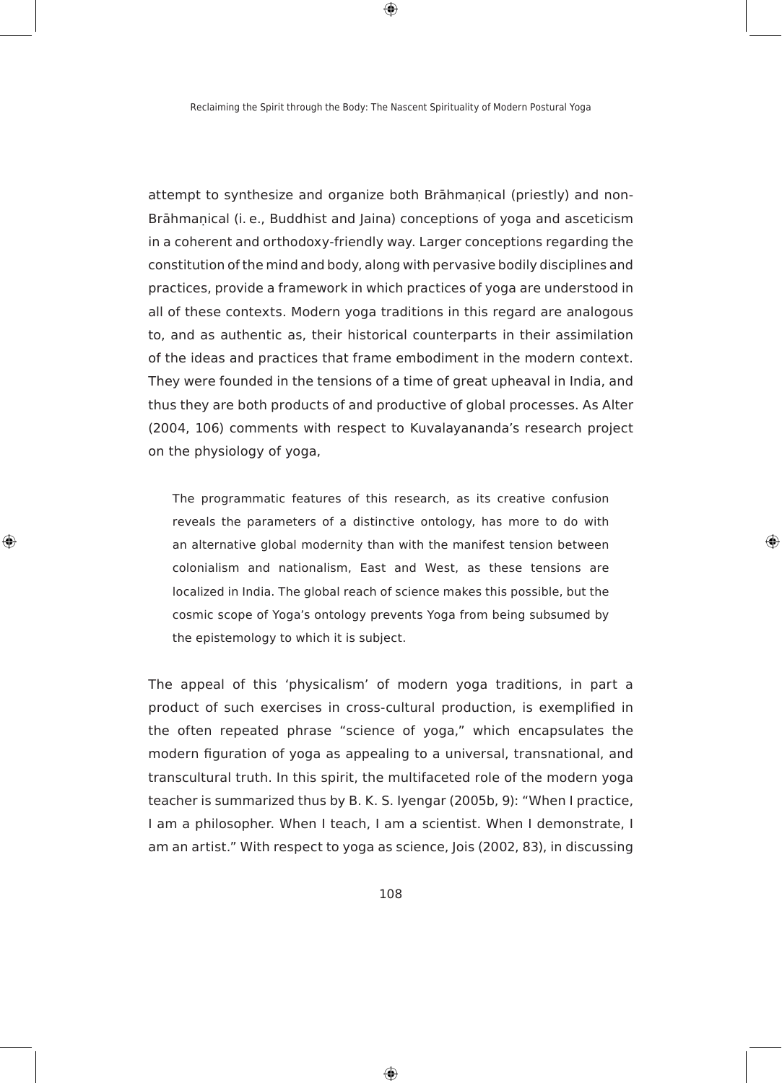$\bigoplus$ 

attempt to synthesize and organize both Brāhmanical (priestly) and non-Brāhmaņical (i. e., Buddhist and Jaina) conceptions of yoga and asceticism in a coherent and orthodoxy-friendly way. Larger conceptions regarding the constitution of the mind and body, along with pervasive bodily disciplines and practices, provide a framework in which practices of yoga are understood in all of these contexts. Modern yoga traditions in this regard are analogous to, and as authentic as, their historical counterparts in their assimilation of the ideas and practices that frame embodiment in the modern context. They were founded in the tensions of a time of great upheaval in India, and thus they are both products of and productive of global processes. As Alter (2004, 106) comments with respect to kuvalayananda's research project on the physiology of yoga,

The programmatic features of this research, as its creative confusion reveals the parameters of a distinctive ontology, has more to do with an alternative global modernity than with the manifest tension between colonialism and nationalism, east and West, as these tensions are localized in India. The global reach of science makes this possible, but the cosmic scope of Yoga's ontology prevents Yoga from being subsumed by the epistemology to which it is subject.

◈

⊕

The appeal of this 'physicalism' of modern yoga traditions, in part a product of such exercises in cross-cultural production, is exemplified in the often repeated phrase "science of yoga," which encapsulates the modern figuration of yoga as appealing to a universal, transnational, and transcultural truth. In this spirit, the multifaceted role of the modern yoga teacher is summarized thus by B. K. S. Iyengar (2005b, 9): "When I practice, I am a philosopher. When I teach, I am a scientist. When I demonstrate, I am an artist." With respect to yoga as science, Jois (2002, 83), in discussing

108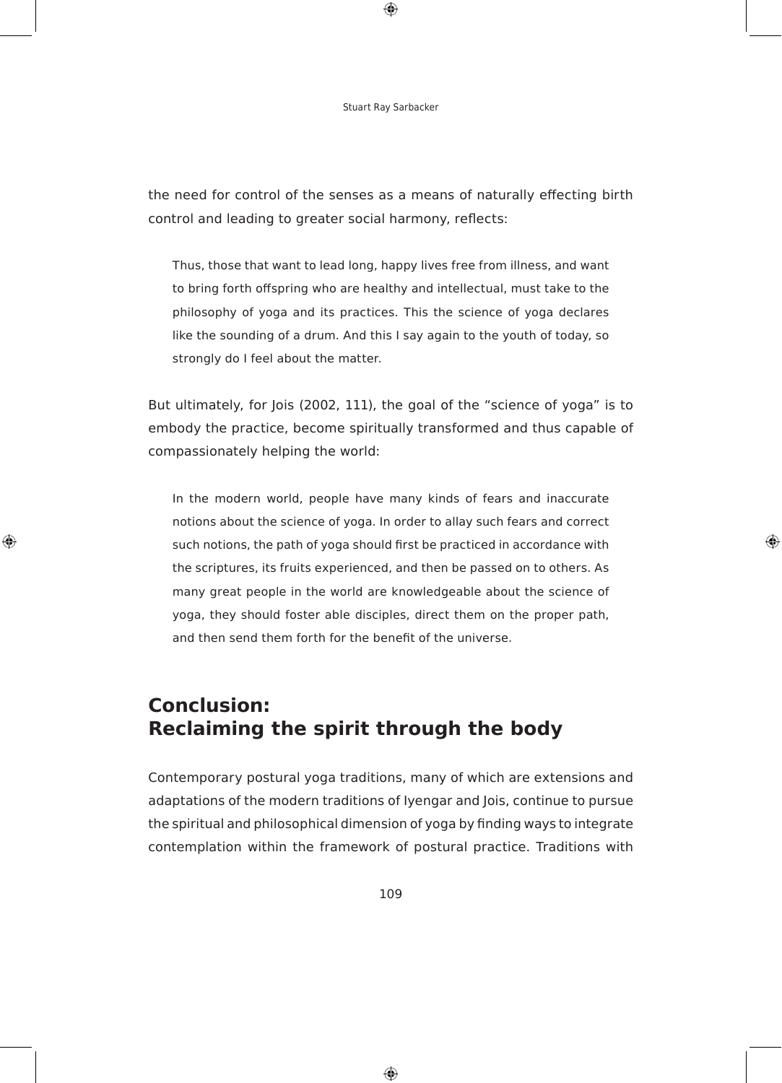$\bigoplus$ 

the need for control of the senses as a means of naturally effecting birth control and leading to greater social harmony, reflects:

Thus, those that want to lead long, happy lives free from illness, and want to bring forth offspring who are healthy and intellectual, must take to the philosophy of yoga and its practices. This the science of yoga declares like the sounding of a drum. And this I say again to the youth of today, so strongly do I feel about the matter.

But ultimately, for Jois (2002, 111), the goal of the "science of yoga" is to embody the practice, become spiritually transformed and thus capable of compassionately helping the world:

In the modern world, people have many kinds of fears and inaccurate notions about the science of yoga. In order to allay such fears and correct such notions, the path of yoga should first be practiced in accordance with the scriptures, its fruits experienced, and then be passed on to others. As many great people in the world are knowledgeable about the science of yoga, they should foster able disciples, direct them on the proper path, and then send them forth for the benefit of the universe.

◈

# **conclusion: reclaiming the spirit through the body**

⊕

contemporary postural yoga traditions, many of which are extensions and adaptations of the modern traditions of Iyengar and Jois, continue to pursue the spiritual and philosophical dimension of yoga by finding ways to integrate contemplation within the framework of postural practice. Traditions with

109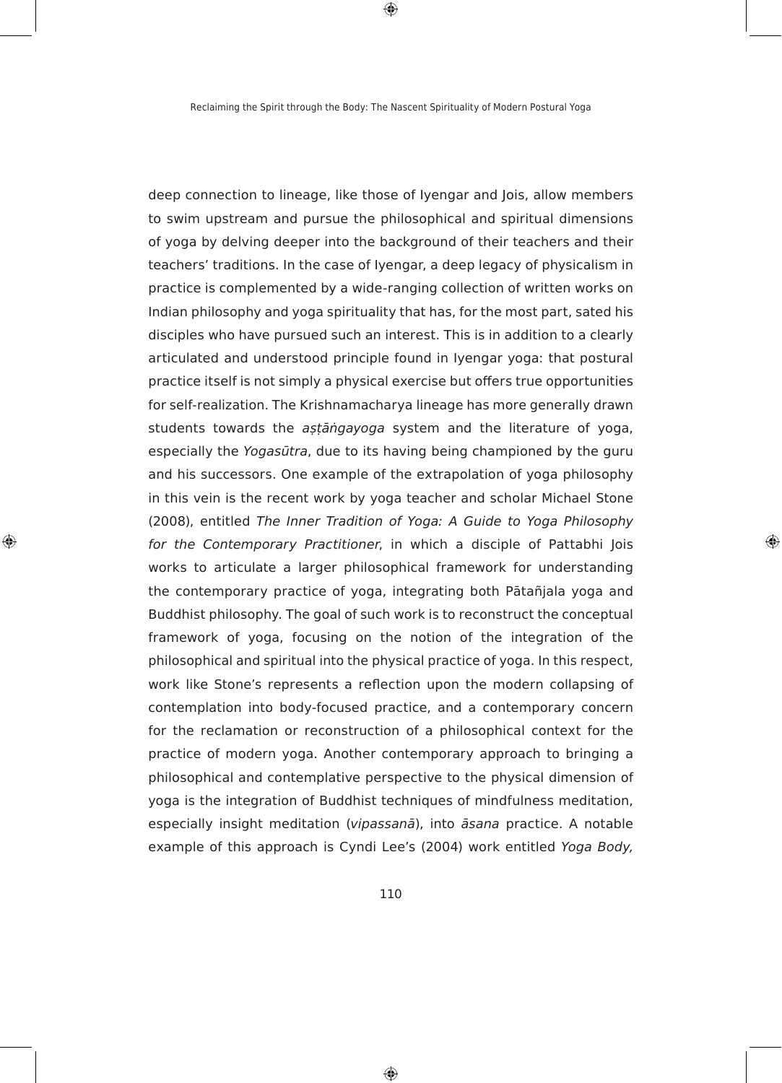$\bigoplus$ 

deep connection to lineage, like those of Iyengar and Jois, allow members to swim upstream and pursue the philosophical and spiritual dimensions of yoga by delving deeper into the background of their teachers and their teachers' traditions. In the case of Iyengar, a deep legacy of physicalism in practice is complemented by a wide-ranging collection of written works on Indian philosophy and yoga spirituality that has, for the most part, sated his disciples who have pursued such an interest. This is in addition to a clearly articulated and understood principle found in Iyengar yoga: that postural practice itself is not simply a physical exercise but offers true opportunities for self-realization. The Krishnamacharya lineage has more generally drawn students towards the *astāngayoga* system and the literature of yoga, especially the *Yogasūtra*, due to its having being championed by the guru and his successors. One example of the extrapolation of yoga philosophy in this vein is the recent work by yoga teacher and scholar Michael Stone (2008), entitled The Inner Tradition of Yoga: A Guide to Yoga Philosophy *Ior the Contemporary Practitioner*, in which a disciple of Pattabhi Jois works to articulate a larger philosophical framework for understanding the contemporary practice of yoga, integrating both Pātañjala yoga and Buddhist philosophy. The goal of such work is to reconstruct the conceptual framework of yoga, focusing on the notion of the integration of the philosophical and spiritual into the physical practice of yoga. In this respect, work like Stone's represents a reflection upon the modern collapsing of contemplation into body-focused practice, and a contemporary concern for the reclamation or reconstruction of a philosophical context for the practice of modern yoga. Another contemporary approach to bringing a philosophical and contemplative perspective to the physical dimension of yoga is the integration of Buddhist techniques of mindfulness meditation, especially insight meditation (vipassanā), into *āsana* practice. A notable example of this approach is Cyndi Lee's (2004) work entitled Yoga Body,

⊕

◈

110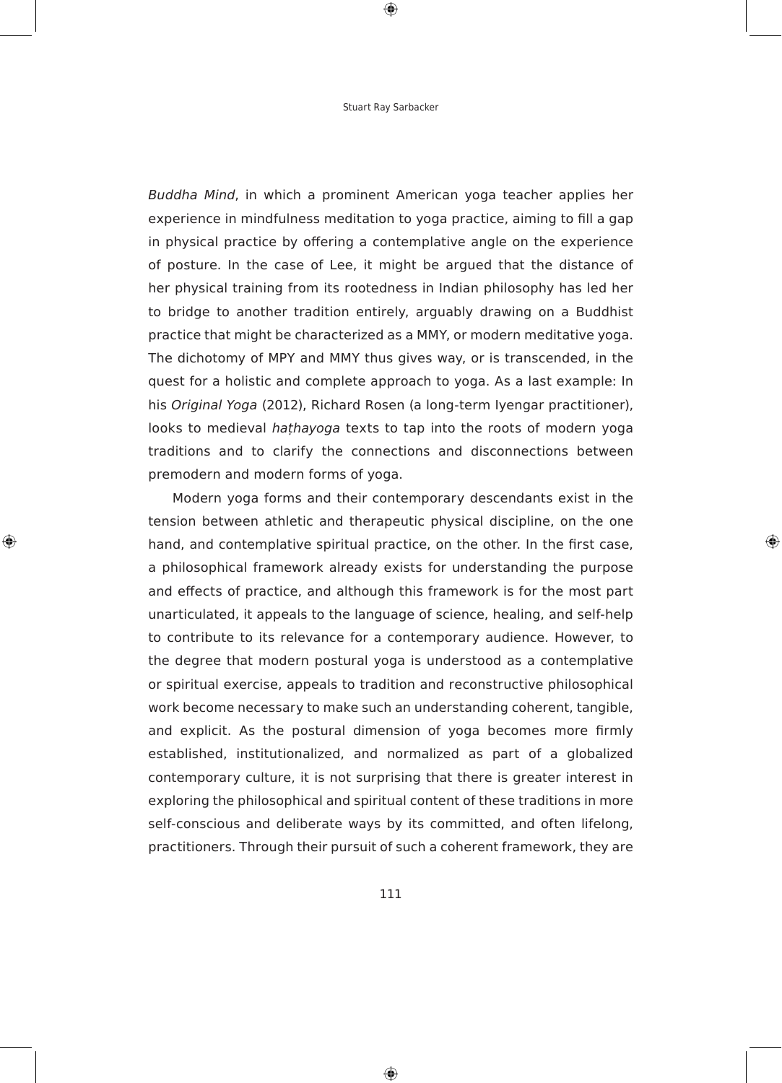$\bigoplus$ 

Buddha Mind, in which a prominent American yoga teacher applies her experience in mindfulness meditation to yoga practice, aiming to fill a gap in physical practice by offering a contemplative angle on the experience of posture. In the case of Lee, it might be argued that the distance of her physical training from its rootedness in Indian philosophy has led her to bridge to another tradition entirely, arguably drawing on a Buddhist practice that might be characterized as a MMY, or modern meditative yoga. The dichotomy of MPY and MMY thus gives way, or is transcended, in the quest for a holistic and complete approach to yoga. As a last example: In his Original Yoga (2012), Richard Rosen (a long-term Iyengar practitioner), looks to medieval *hathayoga* texts to tap into the roots of modern yoga traditions and to clarify the connections and disconnections between premodern and modern forms of yoga.

Modern yoga forms and their contemporary descendants exist in the tension between athletic and therapeutic physical discipline, on the one hand, and contemplative spiritual practice, on the other. In the first case, a philosophical framework already exists for understanding the purpose and effects of practice, and although this framework is for the most part unarticulated, it appeals to the language of science, healing, and self-help to contribute to its relevance for a contemporary audience. However, to the degree that modern postural yoga is understood as a contemplative or spiritual exercise, appeals to tradition and reconstructive philosophical work become necessary to make such an understanding coherent, tangible, and explicit. As the postural dimension of yoga becomes more firmly established, institutionalized, and normalized as part of a globalized contemporary culture, it is not surprising that there is greater interest in exploring the philosophical and spiritual content of these traditions in more self-conscious and deliberate ways by its committed, and often lifelong, practitioners. Through their pursuit of such a coherent framework, they are

♠

⊕

111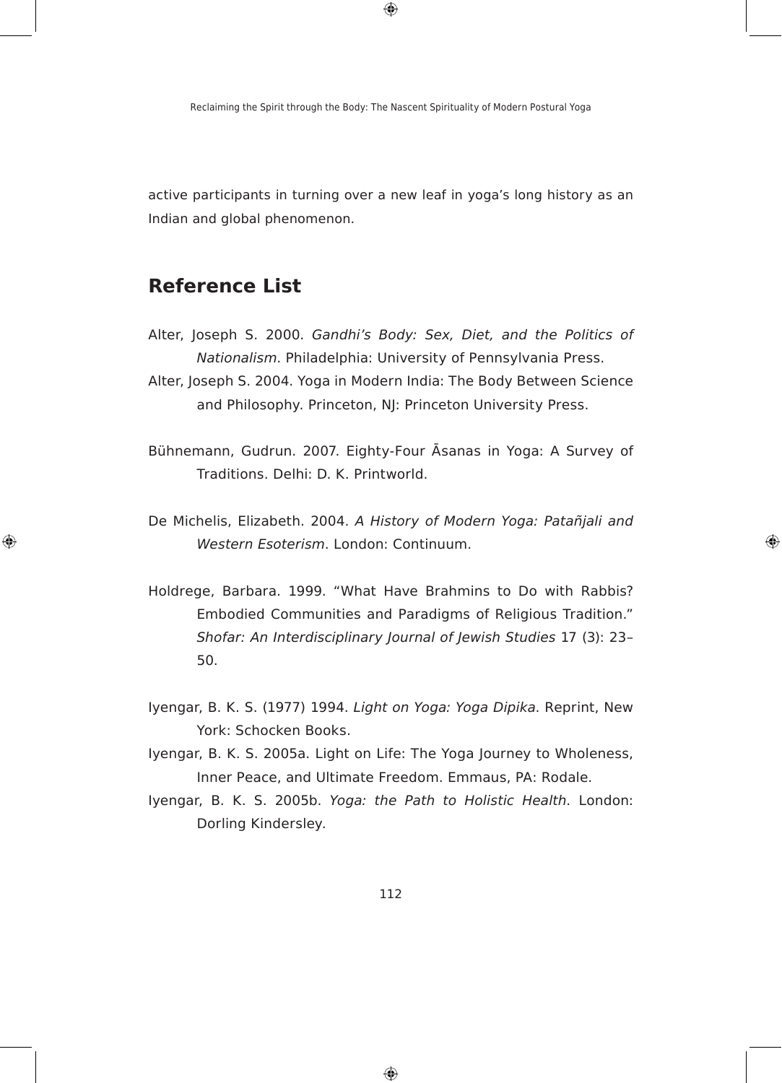$\bigoplus$ 

active participants in turning over a new leaf in yoga's long history as an Indian and global phenomenon.

### **Reference List**

◈

- Alter, Joseph S. 2000. Gandhi's Body: Sex, Diet, and the Politics of *Nationalism. Philadelphia: University of Pennsylvania Press.*
- Alter, Joseph S. 2004. Yoga in Modern India: The Body Between Science and Philosophy. Princeton, NJ: Princeton University Press.
- Bühnemann, Gudrun. 2007. Eighty-Four Asanas in Yoga: A Survey of Traditions. Delhi: D. k. Printworld.
- De Michelis, Elizabeth. 2004. A History of Modern Yoga: Patañjali and *Western Esoterism. London: Continuum.*

◈

- Holdrege, Barbara. 1999. "What Have Brahmins to Do with Rabbis? embodied communities and Paradigms of Religious Tradition." Shofar: An Interdisciplinary Journal of Jewish Studies 17 (3): 23– 50.
- Iyengar, B. K. S. (1977) 1994. *Light on Yoga: Yoga Dipika*. Reprint, New York: Schocken Books.
- Iyengar, B. K. S. 2005a. Light on Life: The Yoga Journey to Wholeness, Inner Peace, and Ultimate Freedom. Emmaus, PA: Rodale.
- Iyengar, B. k. S. 2005b. Yoga: the Path to Holistic Health. London: Dorling kindersley.

112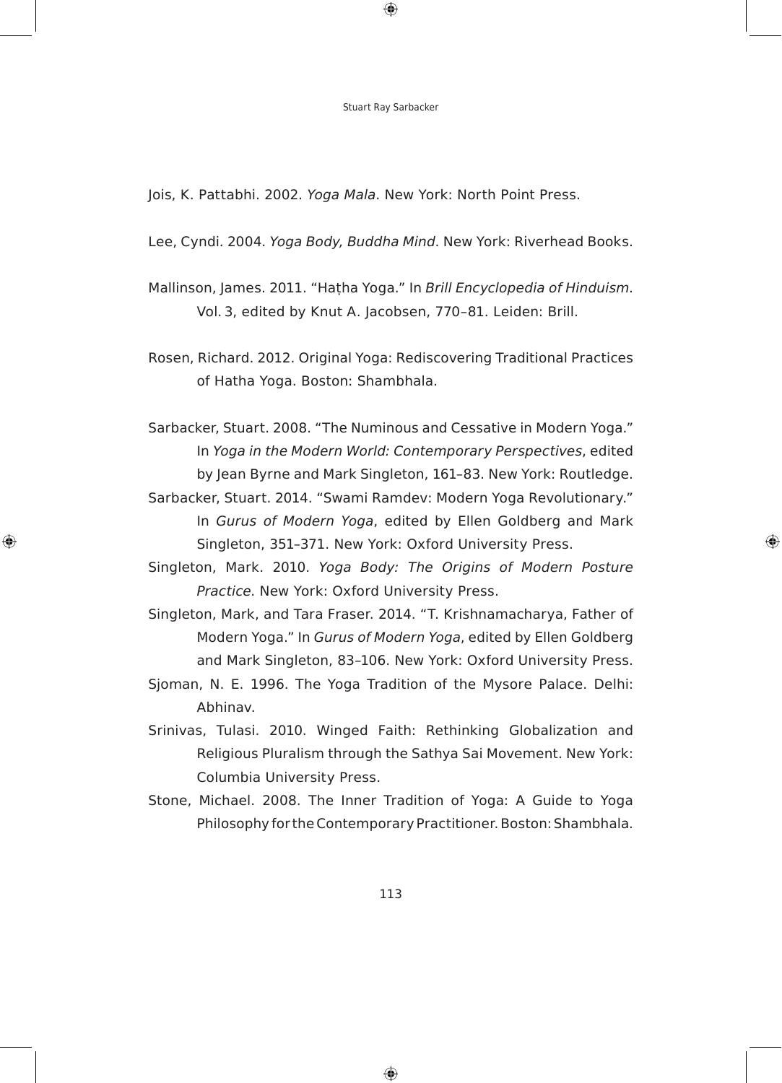$\bigoplus$ 

Jois, K. Pattabhi. 2002. Yoga Mala. New York: North Point Press.

Lee, cyndi. 2004. Yoga Body, Buddha Mind. New York: Riverhead Books.

Mallinson, James. 2011. "Hatha Yoga." In Brill Encyclopedia of Hinduism. Vol. 3, edited by Knut A. Jacobsen, 770-81. Leiden: Brill.

Rosen, Richard. 2012. Original Yoga: Rediscovering Traditional Practices of Hatha Yoga. Boston: Shambhala.

Sarbacker, Stuart. 2008. "The Numinous and cessative in Modern Yoga." In *Yoga in the Modern World: Contemporary Perspectives*, edited by Jean Byrne and Mark Singleton, 161-83. New York: Routledge.

Sarbacker, Stuart. 2014. "Swami Ramdev: Modern Yoga Revolutionary." In Gurus of Modern Yoga, edited by Ellen Goldberg and Mark Singleton, 351–371. New York: Oxford University Press.

◈

◈

- Singleton, Mark. 2010. Yoga Body: The Origins of Modern Posture Practice. New York: Oxford University Press.
- Singleton, Mark, and Tara Fraser. 2014. "T. Krishnamacharya, Father of Modern Yoga." In Gurus of Modern Yoga, edited by Ellen Goldberg and Mark Singleton, 83–106. New York: Oxford University Press.
- Sjoman, N. e. 1996. The Yoga Tradition of the Mysore Palace. Delhi: Abhinav.
- Srinivas, Tulasi. 2010. Winged Faith: Rethinking Globalization and Religious Pluralism through the Sathya Sai Movement. New York: columbia University Press.
- Stone, Michael. 2008. The Inner Tradition of Yoga: A Guide to Yoga Philosophy for the contemporary Practitioner. Boston: Shambhala.